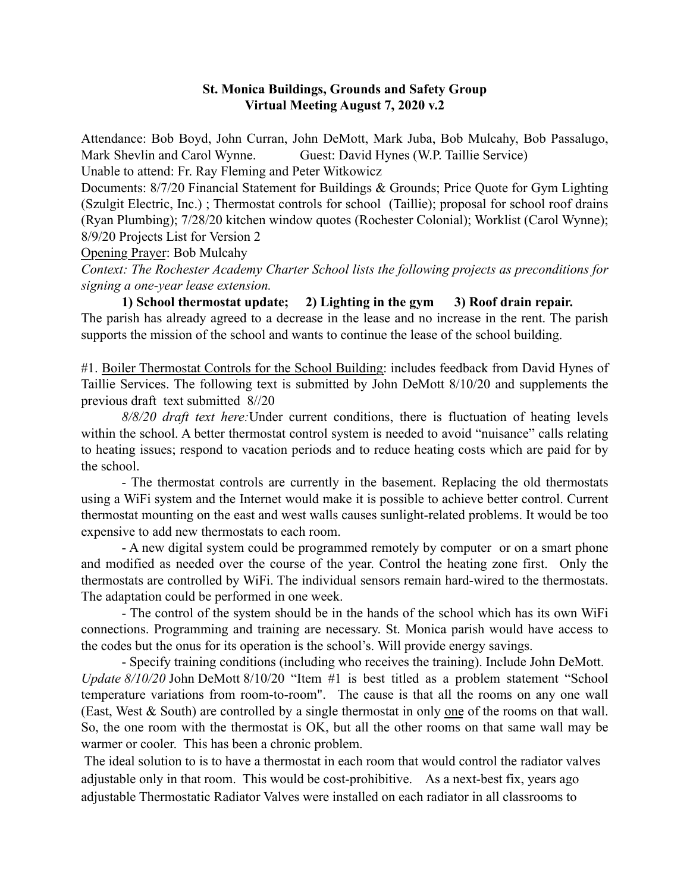#### St. Monica Buildings, Grounds and Safety Group Virtual Meeting August 7, 2020 v.2

Attendance: Bob Boyd, John Curran, John DeMott, Mark Juba, Bob Mulcahy, Bob Passalugo, Mark Shevlin and Carol Wynne. Guest: David Hynes (W.P. Taillie Service) Unable to attend: Fr. Ray Fleming and Peter Witkowicz

Documents: 8/7/20 Financial Statement for Buildings & Grounds; Price Quote for Gym Lighting (Szulgit Electric, Inc.) ; Thermostat controls for school (Taillie); proposal for school roof drains (Ryan Plumbing); 7/28/20 kitchen window quotes (Rochester Colonial); Worklist (Carol Wynne); 8/9/20 Projects List for Version 2

Opening Prayer: Bob Mulcahy

*Context: The Rochester Academy Charter School lists the following projects as preconditions for signing a one-year lease extension.* 

1) School thermostat update; 2) Lighting in the gym 3) Roof drain repair. The parish has already agreed to a decrease in the lease and no increase in the rent. The parish supports the mission of the school and wants to continue the lease of the school building.

#1. Boiler Thermostat Controls for the School Building: includes feedback from David Hynes of Taillie Services. The following text is submitted by John DeMott 8/10/20 and supplements the previous draft text submitted 8//20

*8/8/20 draft text here:*Under current conditions, there is fluctuation of heating levels within the school. A better thermostat control system is needed to avoid "nuisance" calls relating to heating issues; respond to vacation periods and to reduce heating costs which are paid for by the school.

- The thermostat controls are currently in the basement. Replacing the old thermostats using a WiFi system and the Internet would make it is possible to achieve better control. Current thermostat mounting on the east and west walls causes sunlight-related problems. It would be too expensive to add new thermostats to each room.

- A new digital system could be programmed remotely by computer or on a smart phone and modified as needed over the course of the year. Control the heating zone first. Only the thermostats are controlled by WiFi. The individual sensors remain hard-wired to the thermostats. The adaptation could be performed in one week.

- The control of the system should be in the hands of the school which has its own WiFi connections. Programming and training are necessary. St. Monica parish would have access to the codes but the onus for its operation is the school's. Will provide energy savings.

- Specify training conditions (including who receives the training). Include John DeMott. *Update 8/10/20* John DeMott 8/10/20 "Item #1 is best titled as a problem statement "School" temperature variations from room-to-room". The cause is that all the rooms on any one wall (East, West & South) are controlled by a single thermostat in only one of the rooms on that wall. So, the one room with the thermostat is OK, but all the other rooms on that same wall may be warmer or cooler. This has been a chronic problem.

 The ideal solution to is to have a thermostat in each room that would control the radiator valves adjustable only in that room. This would be cost-prohibitive. As a next-best fix, years ago adjustable Thermostatic Radiator Valves were installed on each radiator in all classrooms to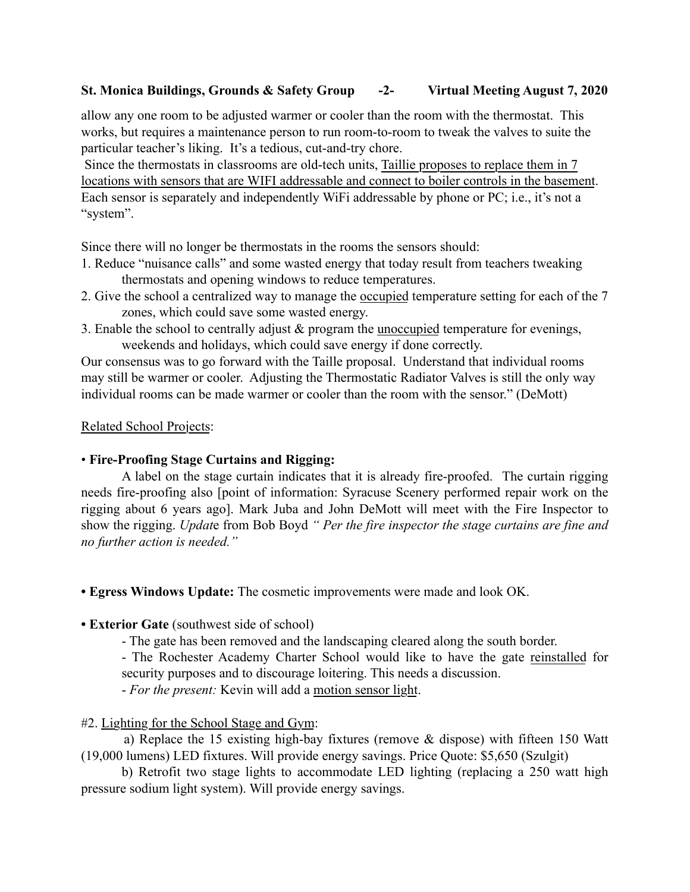# St. Monica Buildings, Grounds & Safety Group -2- Virtual Meeting August 7, 2020

allow any one room to be adjusted warmer or cooler than the room with the thermostat. This works, but requires a maintenance person to run room-to-room to tweak the valves to suite the particular teacher's liking. It's a tedious, cut-and-try chore.

 Since the thermostats in classrooms are old-tech units, Taillie proposes to replace them in 7 locations with sensors that are WIFI addressable and connect to boiler controls in the basement. Each sensor is separately and independently WiFi addressable by phone or PC; i.e., it's not a "system".

Since there will no longer be thermostats in the rooms the sensors should:

- 1. Reduce "nuisance calls" and some wasted energy that today result from teachers tweaking thermostats and opening windows to reduce temperatures.
- 2. Give the school a centralized way to manage the occupied temperature setting for each of the 7 zones, which could save some wasted energy.
- 3. Enable the school to centrally adjust & program the unoccupied temperature for evenings, weekends and holidays, which could save energy if done correctly.

Our consensus was to go forward with the Taille proposal. Understand that individual rooms may still be warmer or cooler. Adjusting the Thermostatic Radiator Valves is still the only way individual rooms can be made warmer or cooler than the room with the sensor." (DeMott)

#### Related School Projects:

## • Fire-Proofing Stage Curtains and Rigging:

A label on the stage curtain indicates that it is already fire-proofed. The curtain rigging needs fire-proofing also [point of information: Syracuse Scenery performed repair work on the rigging about 6 years ago]. Mark Juba and John DeMott will meet with the Fire Inspector to show the rigging. *Updat*e from Bob Boyd *" Per the fire inspector the stage curtains are fine and no further action is needed."*

• Egress Windows Update: The cosmetic improvements were made and look OK.

#### • Exterior Gate (southwest side of school)

- The gate has been removed and the landscaping cleared along the south border.

- The Rochester Academy Charter School would like to have the gate reinstalled for security purposes and to discourage loitering. This needs a discussion.

- *For the present:* Kevin will add a motion sensor light.

## #2. Lighting for the School Stage and Gym:

 a) Replace the 15 existing high-bay fixtures (remove & dispose) with fifteen 150 Watt (19,000 lumens) LED fixtures. Will provide energy savings. Price Quote: \$5,650 (Szulgit)

b) Retrofit two stage lights to accommodate LED lighting (replacing a 250 watt high pressure sodium light system). Will provide energy savings.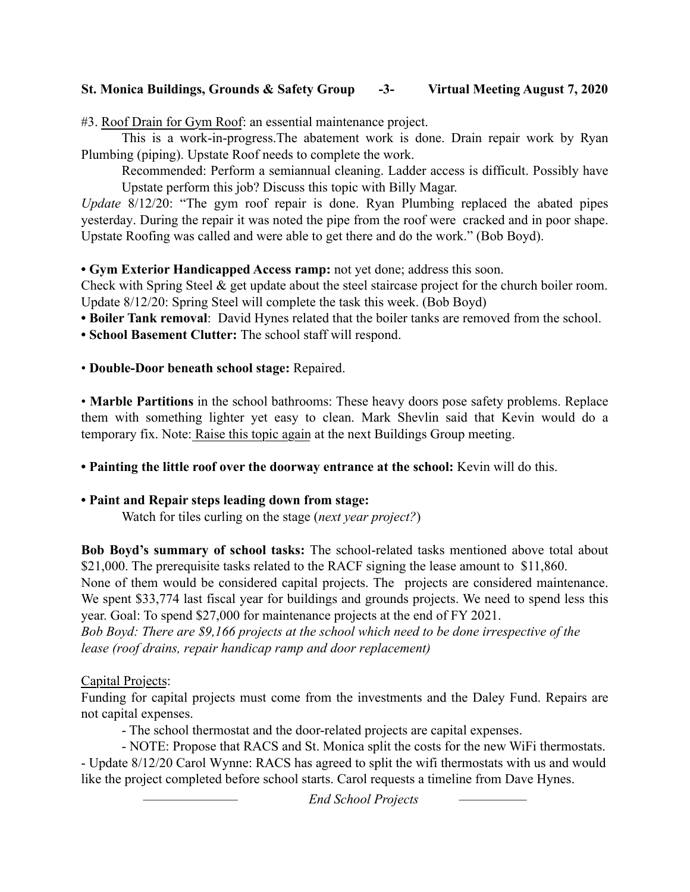# St. Monica Buildings, Grounds & Safety Group -3- Virtual Meeting August 7, 2020

#3. Roof Drain for Gym Roof: an essential maintenance project.

This is a work-in-progress.The abatement work is done. Drain repair work by Ryan Plumbing (piping). Upstate Roof needs to complete the work.

Recommended: Perform a semiannual cleaning. Ladder access is difficult. Possibly have Upstate perform this job? Discuss this topic with Billy Magar.

*Update* 8/12/20: "The gym roof repair is done. Ryan Plumbing replaced the abated pipes yesterday. During the repair it was noted the pipe from the roof were cracked and in poor shape. Upstate Roofing was called and were able to get there and do the work." (Bob Boyd).

#### • Gym Exterior Handicapped Access ramp: not yet done; address this soon.

Check with Spring Steel & get update about the steel staircase project for the church boiler room. Update 8/12/20: Spring Steel will complete the task this week. (Bob Boyd)

• Boiler Tank removal: David Hynes related that the boiler tanks are removed from the school.

• School Basement Clutter: The school staff will respond.

#### • Double-Door beneath school stage: Repaired.

• Marble Partitions in the school bathrooms: These heavy doors pose safety problems. Replace them with something lighter yet easy to clean. Mark Shevlin said that Kevin would do a temporary fix. Note: Raise this topic again at the next Buildings Group meeting.

• Painting the little roof over the doorway entrance at the school: Kevin will do this.

## • Paint and Repair steps leading down from stage:

Watch for tiles curling on the stage (*next year project?*)

Bob Boyd's summary of school tasks: The school-related tasks mentioned above total about \$21,000. The prerequisite tasks related to the RACF signing the lease amount to \$11,860. None of them would be considered capital projects. The projects are considered maintenance. We spent \$33,774 last fiscal year for buildings and grounds projects. We need to spend less this year. Goal: To spend \$27,000 for maintenance projects at the end of FY 2021.

*Bob Boyd: There are \$9,166 projects at the school which need to be done irrespective of the lease (roof drains, repair handicap ramp and door replacement)*

## Capital Projects:

Funding for capital projects must come from the investments and the Daley Fund. Repairs are not capital expenses.

- The school thermostat and the door-related projects are capital expenses.

- NOTE: Propose that RACS and St. Monica split the costs for the new WiFi thermostats. - Update 8/12/20 Carol Wynne: RACS has agreed to split the wifi thermostats with us and would like the project completed before school starts. Carol requests a timeline from Dave Hynes.

 $End$  School Projects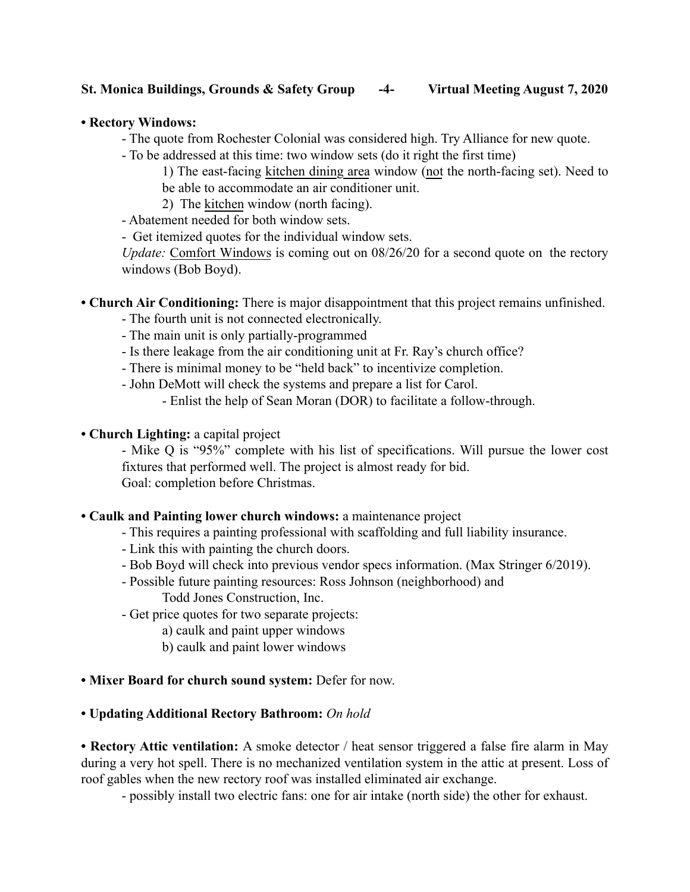# St. Monica Buildings, Grounds & Safety Group -4- Virtual Meeting August 7, 2020

#### • Rectory Windows:

- The quote from Rochester Colonial was considered high. Try Alliance for new quote.
- To be addressed at this time: two window sets (do it right the first time)

1) The east-facing kitchen dining area window (not the north-facing set). Need to be able to accommodate an air conditioner unit.

- 2) The kitchen window (north facing).
- Abatement needed for both window sets.
- Get itemized quotes for the individual window sets.

*Update:* Comfort Windows is coming out on 08/26/20 for a second quote on the rectory windows (Bob Boyd).

- Church Air Conditioning: There is major disappointment that this project remains unfinished.
	- The fourth unit is not connected electronically.
	- The main unit is only partially-programmed
	- Is there leakage from the air conditioning unit at Fr. Ray's church office?
	- There is minimal money to be "held back" to incentivize completion.
	- John DeMott will check the systems and prepare a list for Carol.
		- Enlist the help of Sean Moran (DOR) to facilitate a follow-through.
- Church Lighting: a capital project

- Mike Q is "95%" complete with his list of specifications. Will pursue the lower cost fixtures that performed well. The project is almost ready for bid. Goal: completion before Christmas.

#### • Caulk and Painting lower church windows: a maintenance project

- This requires a painting professional with scaffolding and full liability insurance.
- Link this with painting the church doors.
- Bob Boyd will check into previous vendor specs information. (Max Stringer 6/2019).
- Possible future painting resources: Ross Johnson (neighborhood) and Todd Jones Construction, Inc.
- Get price quotes for two separate projects:
	- a) caulk and paint upper windows
	- b) caulk and paint lower windows
- Mixer Board for church sound system: Defer for now.

#### • Updating Additional Rectory Bathroom: *On hold*

• Rectory Attic ventilation: A smoke detector / heat sensor triggered a false fire alarm in May during a very hot spell. There is no mechanized ventilation system in the attic at present. Loss of roof gables when the new rectory roof was installed eliminated air exchange.

- possibly install two electric fans: one for air intake (north side) the other for exhaust.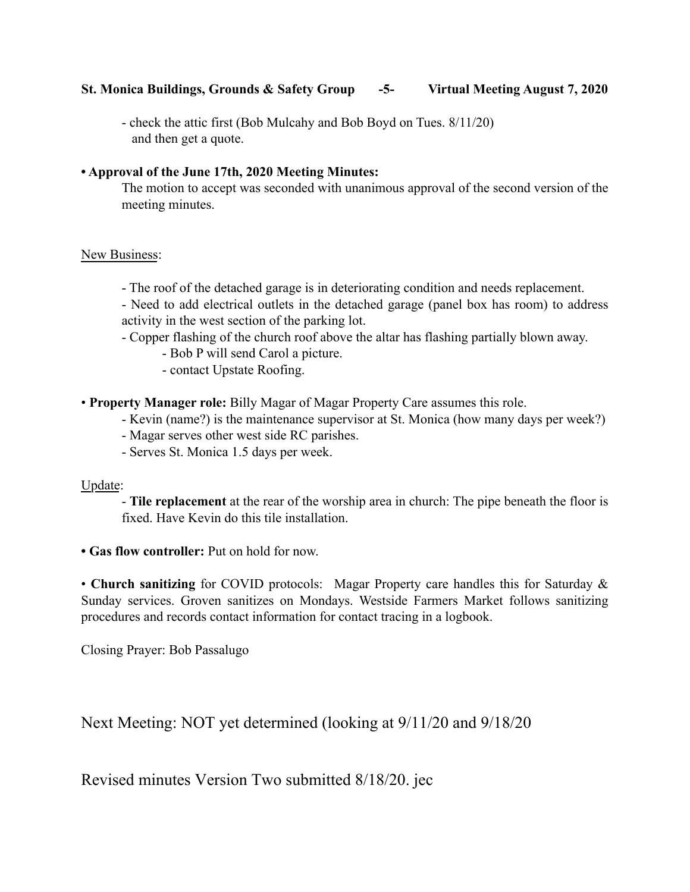## St. Monica Buildings, Grounds & Safety Group -5- Virtual Meeting August 7, 2020

- check the attic first (Bob Mulcahy and Bob Boyd on Tues. 8/11/20) and then get a quote.

## • Approval of the June 17th, 2020 Meeting Minutes:

The motion to accept was seconded with unanimous approval of the second version of the meeting minutes.

## New Business:

- The roof of the detached garage is in deteriorating condition and needs replacement.
- Need to add electrical outlets in the detached garage (panel box has room) to address activity in the west section of the parking lot.
- Copper flashing of the church roof above the altar has flashing partially blown away.
	- Bob P will send Carol a picture.
	- contact Upstate Roofing.
- Property Manager role: Billy Magar of Magar Property Care assumes this role.
	- Kevin (name?) is the maintenance supervisor at St. Monica (how many days per week?)
	- Magar serves other west side RC parishes.
	- Serves St. Monica 1.5 days per week.

## Update:

- Tile replacement at the rear of the worship area in church: The pipe beneath the floor is fixed. Have Kevin do this tile installation.

• Gas flow controller: Put on hold for now.

• Church sanitizing for COVID protocols: Magar Property care handles this for Saturday & Sunday services. Groven sanitizes on Mondays. Westside Farmers Market follows sanitizing procedures and records contact information for contact tracing in a logbook.

Closing Prayer: Bob Passalugo

Next Meeting: NOT yet determined (looking at 9/11/20 and 9/18/20

Revised minutes Version Two submitted 8/18/20. jec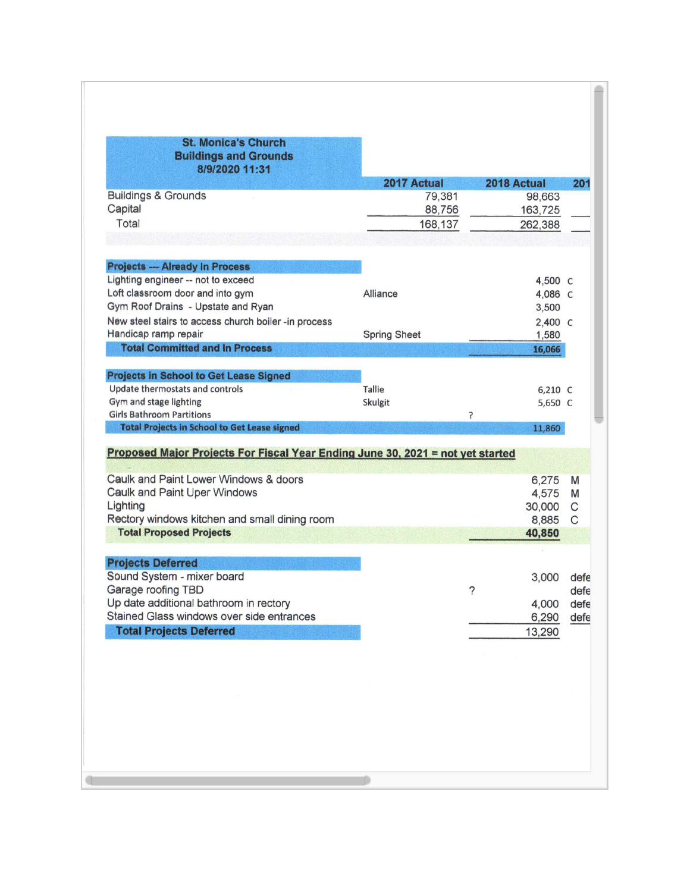| <b>St. Monica's Church</b><br><b>Buildings and Grounds</b><br>8/9/2020 11:31     |                     |                   |                      |
|----------------------------------------------------------------------------------|---------------------|-------------------|----------------------|
|                                                                                  | 2017 Actual         | 2018 Actual       | 201                  |
| <b>Buildings &amp; Grounds</b>                                                   | 79,381              | 98,663            |                      |
| Capital                                                                          | 88,756              | 163,725           |                      |
| Total                                                                            | 168,137             |                   |                      |
|                                                                                  |                     |                   |                      |
| <b>Projects - Already In Process</b>                                             |                     |                   |                      |
| Lighting engineer -- not to exceed                                               |                     | 4,500 C           |                      |
| Loft classroom door and into gym                                                 | Alliance            | 4,086 C           |                      |
| Gym Roof Drains - Upstate and Ryan                                               |                     | 3,500             |                      |
| New steel stairs to access church boiler -in process                             |                     | 2,400 C           |                      |
| Handicap ramp repair                                                             | <b>Spring Sheet</b> | 1,580             |                      |
| <b>Total Committed and In Process</b>                                            |                     | 16,066            |                      |
| <b>Projects in School to Get Lease Signed</b>                                    |                     |                   |                      |
| Update thermostats and controls                                                  | <b>Tallie</b>       | $6,210$ C         |                      |
|                                                                                  |                     |                   |                      |
| Gym and stage lighting                                                           |                     |                   |                      |
| <b>Girls Bathroom Partitions</b><br>Total Projects in School to Get Lease signed | <b>Skulgit</b><br>5 | 5,650 C<br>11,860 |                      |
| Proposed Major Projects For Fiscal Year Ending June 30, 2021 = not yet started   |                     |                   |                      |
| Caulk and Paint Lower Windows & doors                                            |                     | 6,275             | M                    |
| Caulk and Paint Uper Windows                                                     |                     | 4,575             | M                    |
| Lighting                                                                         |                     | 30,000            | $\mathsf{C}$         |
| Rectory windows kitchen and small dining room                                    |                     | 8,885             | $\mathsf{C}$         |
| <b>Total Proposed Projects</b>                                                   |                     | 40,850            |                      |
|                                                                                  |                     |                   |                      |
| <b>Projects Deferred</b>                                                         |                     |                   |                      |
| Sound System - mixer board                                                       |                     | 3,000             |                      |
| Garage roofing TBD                                                               |                     | ?                 |                      |
| Up date additional bathroom in rectory                                           |                     | 4,000             | defe<br>defe<br>defe |
| Stained Glass windows over side entrances<br><b>Total Projects Deferred</b>      |                     | 6,290             | defe                 |
|                                                                                  |                     | 13,290            |                      |
|                                                                                  |                     |                   |                      |
|                                                                                  |                     |                   |                      |
|                                                                                  |                     |                   |                      |